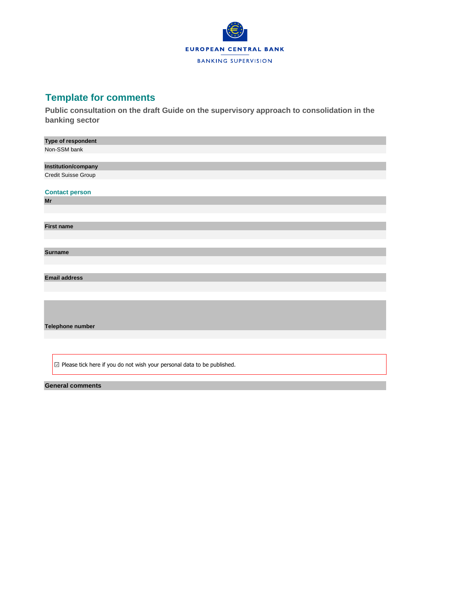

## **Template for comments**

**Public consultation on the draft Guide on the supervisory approach to consolidation in the banking sector**

| Type of respondent                                                                |
|-----------------------------------------------------------------------------------|
| Non-SSM bank                                                                      |
|                                                                                   |
| Institution/company                                                               |
| Credit Suisse Group                                                               |
|                                                                                   |
| <b>Contact person</b>                                                             |
| Mr                                                                                |
|                                                                                   |
|                                                                                   |
| <b>First name</b>                                                                 |
|                                                                                   |
|                                                                                   |
| <b>Surname</b>                                                                    |
|                                                                                   |
|                                                                                   |
| <b>Email address</b>                                                              |
|                                                                                   |
|                                                                                   |
|                                                                                   |
|                                                                                   |
| Telephone number                                                                  |
|                                                                                   |
|                                                                                   |
|                                                                                   |
|                                                                                   |
| $\boxdot$ Please tick here if you do not wish your personal data to be published. |
|                                                                                   |

## **General comments**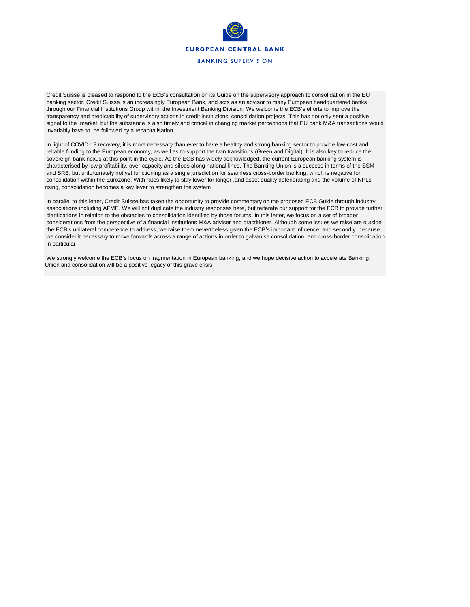

Credit Suisse is pleased to respond to the ECB's consultation on its Guide on the supervisory approach to consolidation in the EU banking sector. Credit Suisse is an increasingly European Bank, and acts as an advisor to many European headquartered banks through our Financial Institutions Group within the Investment Banking Division. We welcome the ECB's efforts to improve the transparency and predictability of supervisory actions in credit institutions' consolidation projects. This has not only sent a positive signal to the .market, but the substance is also timely and critical in changing market perceptions that EU bank M&A transactions would invariably have to .be followed by a recapitalisation

In light of COVID-19 recovery, it is more necessary than ever to have a healthy and strong banking sector to provide low-cost and reliable funding to the European economy, as well as to support the twin transitions (Green and Digital). It is also key to reduce the sovereign-bank nexus at this point in the cycle. As the ECB has widely acknowledged, the current European banking system is characterised by low profitability, over-capacity and siloes along national lines. The Banking Union is a success in terms of the SSM and SRB, but unfortunately not yet functioning as a single jurisdiction for seamless cross-border banking, which is negative for consolidation within the Eurozone. With rates likely to stay lower for longer .and asset quality deteriorating and the volume of NPLs rising, consolidation becomes a key lever to strengthen the system

In parallel to this letter, Credit Suisse has taken the opportunity to provide commentary on the proposed ECB Guide through industry associations including AFME. We will not duplicate the industry responses here, but reiterate our support for the ECB to provide further clarifications in relation to the obstacles to consolidation identified by those forums. In this letter, we focus on a set of broader considerations from the perspective of a financial institutions M&A adviser and practitioner. Although some issues we raise are outside the ECB's unilateral competence to address, we raise them nevertheless given the ECB's important influence, and secondly .because we consider it necessary to move forwards across a range of actions in order to galvanise consolidation, and cross-border consolidation in particular

We strongly welcome the ECB's focus on fragmentation in European banking, and we hope decisive action to accelerate Banking. Union and consolidation will be a positive legacy of this grave crisis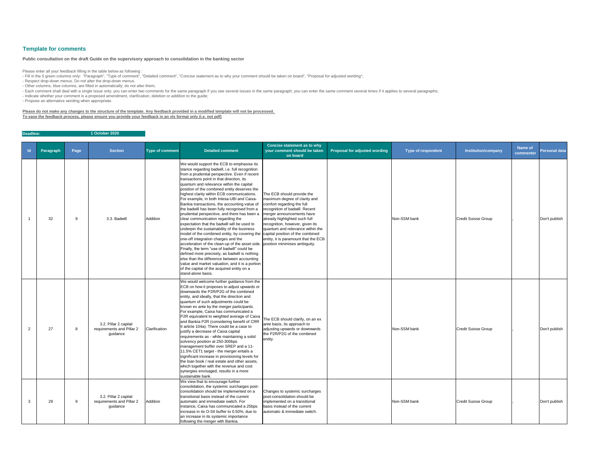| $\mathsf{Id}$ | Paragraph       | Page | <b>Section</b>                                                 | <b>Type of comment</b> | <b>Detailed comment</b>                                                                                                                                                                                                                                                                                                                                                                                                                                                                                                                                                                                                                                                                                                                                                                                                                                                                                                                                                                                                                                                                                                                                | <b>Concise statement as to why</b><br>your comment should be taken<br>on board                                                                                                                                                                                                                           | <b>Proposal for adjusted wording</b> | <b>Type of respondent</b> | <b>Institution/company</b> | <b>Name of</b><br>commenter | Personal data |
|---------------|-----------------|------|----------------------------------------------------------------|------------------------|--------------------------------------------------------------------------------------------------------------------------------------------------------------------------------------------------------------------------------------------------------------------------------------------------------------------------------------------------------------------------------------------------------------------------------------------------------------------------------------------------------------------------------------------------------------------------------------------------------------------------------------------------------------------------------------------------------------------------------------------------------------------------------------------------------------------------------------------------------------------------------------------------------------------------------------------------------------------------------------------------------------------------------------------------------------------------------------------------------------------------------------------------------|----------------------------------------------------------------------------------------------------------------------------------------------------------------------------------------------------------------------------------------------------------------------------------------------------------|--------------------------------------|---------------------------|----------------------------|-----------------------------|---------------|
|               | 32 <sup>2</sup> | q    | 3.3. Badwill                                                   | Addition               | We would support the ECB to emphasise its<br>stance regarding badwill, i.e. full recognition<br>from a prudential perspective. Even if recent<br>transactions point in that direction, its<br>quantum and relevance within the capital<br>position of the combined entity deserves the<br>highest clarity within ECB communications.<br>For example, in both Intesa-UBI and Caixa-<br>Bankia transactions, the accounting value of<br>the badwill has been fully recognised from a<br>prudential perspective, and there has been a<br>clear communication regarding the<br>expectation that the badwill will be used to<br>underpin the sustainability of the business<br>model of the combined entity, by covering the capital position of the combined<br>one-off integration charges and the<br>acceleration of the clean-up of the asset side. position minimises ambiguity.<br>Finally, the term "use of badwill" could be<br>defined more precisely, as badwill is nothing<br>else than the difference between accounting<br>value and market valuation, and it is a portion<br>of the capital of the acquired entity on a<br>stand-alone basis. | The ECB should provide the<br>maximum degree of clarity and<br>comfort regarding the full<br>recognition of badwill. Recent<br>merger announcements have<br>already highlighted such full<br>recognition, however, given its<br>quantum and relevance within the<br>entity, it is paramount that the ECB |                                      | Non-SSM bank              | <b>Credit Suisse Group</b> |                             | Don't publish |
| 2             | 27              | 8    | 3.2. Pillar 2 capital<br>requirements and Pillar 2<br>guidance | Clarification          | We would welcome further guidance from the<br>ECB on how it proposes to adjust upwards or<br>downwards the P2R/P2G of the combined<br>entity, and ideally, that the direction and<br>quantum of such adjustments could be<br>known ex ante by the merger participants.<br>For example, Caixa has communicated a<br>P2R equivalent to weighted average of Caixa The ECB should clarify, on an ex<br>and Bankia P2R (considering benefit of CRR<br>Il article 104a). There could be a case to<br>justify a decrease of Caixa capital<br>requirements as - while maintaining a solid<br>solvency position at 250-300bps<br>management buffer over SREP and a 11-<br>11.5% CET1 target - the merger entails a<br>significant increase in provisioning levels for<br>the loan book / real estate and other assets,<br>which together with the revenue and cost<br>synergies envisaged, results in a more<br>sustainable bank.                                                                                                                                                                                                                               | ante basis, its approach to<br>adjusting upwards or downwards<br>the P2R/P2G of the combined<br>entity.                                                                                                                                                                                                  |                                      | Non-SSM bank              | <b>Credit Suisse Group</b> |                             | Don't publish |
| 3             | 29              | 9    | 3.2. Pillar 2 capital<br>requirements and Pillar 2<br>guidance | Addition               | We view that to encourage further<br>consolidation, the systemic surcharges post-<br>consolidation should be implemented on a<br>transitional basis instead of the current<br>automatic and immediate switch. For<br>instance, Caixa has communicated a 25bps<br>increase in its O-SII buffer to 0.50%, due to<br>an increase in its systemic importance<br>following the merger with Bankia.                                                                                                                                                                                                                                                                                                                                                                                                                                                                                                                                                                                                                                                                                                                                                          | Changes to systemic surcharges<br>post-consolidation should be<br>implemented on a transitional<br>basis instead of the current<br>automatic & immediate switch.                                                                                                                                         |                                      | Non-SSM bank              | <b>Credit Suisse Group</b> |                             | Don't publish |

- Fill in the 5 green columns only: "Paragraph", "Type of comment", "Detailed comment", "Concise statement as to why your comment should be taken on board", "Proposal for adjusted wording"; - Respect drop-down menus. Do not alter the drop-down menus.

**Deadline: 1 October 2020**

## **Template for comments**

Please enter all your feedback filling in the table below as following :

- Other columns, blue columns, are filled in automatically; do not alter them;

- Each comment shall deal with a single issue only; you can enter two comments for the same paragraph if you see several issues in the same paragraph; you can enter the same comment several times if it applies to several p

- Indicate whether your comment is a proposed amendment, clarification, deletion or addition to the guide;

- Propose an alternative wording when appropriate.

**Please do not make any changes to the structure of the template. Any feedback provided in a modified template will not be processed. To ease the feedback process, please ensure you provide your feedback in an xls format only (i.e. not pdf)**

## **Public consultation on the draft Guide on the supervisory approach to consolidation in the banking sector**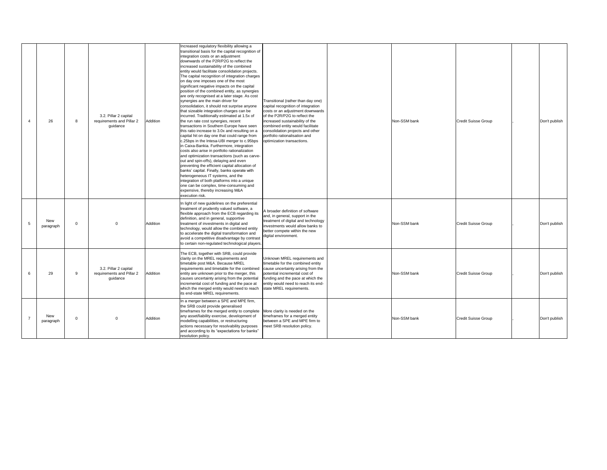| 4              | 26               | 8           | 3.2. Pillar 2 capital<br>requirements and Pillar 2<br>guidance | Addition | Increased regulatory flexibility allowing a<br>transitional basis for the capital recognition of<br>integration costs or an adjustment<br>downwards of the P2R/P2G to reflect the<br>increased sustainability of the combined<br>entity would facilitate consolidation projects.<br>The capital recognition of integration charges<br>on day one imposes one of the most<br>significant negative impacts on the capital<br>position of the combined entity, as synergies<br>are only recognised at a later stage. As cost<br>synergies are the main driver for<br>consolidation, it should not surprise anyone<br>that sizeable integration charges can be<br>incurred. Traditionally estimated at 1.5x of<br>the run rate cost synergies, recent<br>transactions in Southern Europe have seen<br>this ratio increase to 3.0x and resulting on a<br>capital hit on day one that could range from<br>c.25bps in the Intesa-UBI merger to c.95bps<br>in Caixa-Bankia. Furthermore, integration<br>costs also arise in portfolio rationalization<br>and optimization transactions (such as carve-<br>out and spin-offs), delaying and even<br>preventing the efficient capital allocation of<br>banks' capital. Finally, banks operate with<br>heterogeneous IT systems, and the<br>integration of both platforms into a unique<br>one can be complex, time-consuming and<br>expensive, thereby increasing M&A<br>execution risk. | Transitional (rather than day one)<br>capital recognition of integration<br>costs or an adjustment downwards<br>of the P2R/P2G to reflect the<br>increased sustainability of the<br>combined entity would facilitate<br>consolidation projects and other<br>portfolio rationalisation and<br>optimization transactions. |  |
|----------------|------------------|-------------|----------------------------------------------------------------|----------|--------------------------------------------------------------------------------------------------------------------------------------------------------------------------------------------------------------------------------------------------------------------------------------------------------------------------------------------------------------------------------------------------------------------------------------------------------------------------------------------------------------------------------------------------------------------------------------------------------------------------------------------------------------------------------------------------------------------------------------------------------------------------------------------------------------------------------------------------------------------------------------------------------------------------------------------------------------------------------------------------------------------------------------------------------------------------------------------------------------------------------------------------------------------------------------------------------------------------------------------------------------------------------------------------------------------------------------------------------------------------------------------------------------------------------|-------------------------------------------------------------------------------------------------------------------------------------------------------------------------------------------------------------------------------------------------------------------------------------------------------------------------|--|
| 5              | New<br>paragraph | $\pmb{0}$   | 0                                                              | Addition | In light of new guidelines on the preferential<br>treatment of prudently valued software, a<br>flexible approach from the ECB regarding its<br>definition, and in general, supportive<br>treatment of investments in digital and<br>technology, would allow the combined entity<br>to accelerate the digital transformation and<br>avoid a competitive disadvantage by contrast<br>to certain non-regulated technological players.                                                                                                                                                                                                                                                                                                                                                                                                                                                                                                                                                                                                                                                                                                                                                                                                                                                                                                                                                                                             | A broader definition of software<br>and, in general, support in the<br>treatment of digital and technology<br>investments would allow banks to<br>better compete within the new<br>digital environment.                                                                                                                 |  |
| 6              | 29               | 9           | 3.2. Pillar 2 capital<br>requirements and Pillar 2<br>guidance | Addition | The ECB, together with SRB, could provide<br>clarity on the MREL requirements and<br>timetable post M&A. Because MREL<br>requirements and timetable for the combined<br>entity are unknown prior to the merger, this<br>causes uncertainty arising from the potential<br>incremental cost of funding and the pace at<br>which the merged entity would need to reach<br>its end-state MREL requirements.                                                                                                                                                                                                                                                                                                                                                                                                                                                                                                                                                                                                                                                                                                                                                                                                                                                                                                                                                                                                                        | Unknown MREL requirements and<br>timetable for the combined entity<br>cause uncertainty arising from the<br>potential incremental cost of<br>funding and the pace at which the<br>entity would need to reach its end-<br>state MREL requirements.                                                                       |  |
| $\overline{7}$ | New<br>paragraph | $\mathbf 0$ | 0                                                              | Addition | In a merger between a SPE and MPE firm,<br>the SRB could provide generalised<br>timeframes for the merged entity to complete<br>any asset/liability exercise, development of<br>modelling capabilities, or restructuring<br>actions necessary for resolvability purposes<br>and according to its "expectations for banks"<br>resolution policy.                                                                                                                                                                                                                                                                                                                                                                                                                                                                                                                                                                                                                                                                                                                                                                                                                                                                                                                                                                                                                                                                                | More clarity is needed on the<br>timeframes for a merged entity<br>between a SPE and MPE firm to<br>meet SRB resolution policy.                                                                                                                                                                                         |  |

| Non-SSM bank | Credit Suisse Group        | Don't publish |
|--------------|----------------------------|---------------|
| Non-SSM bank | <b>Credit Suisse Group</b> | Don't publish |
| Non-SSM bank | Credit Suisse Group        | Don't publish |
| Non-SSM bank | Credit Suisse Group        | Don't publish |